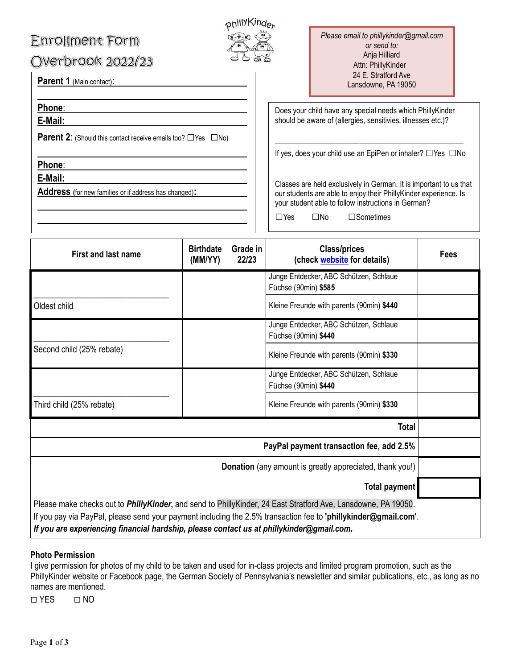# **Enrollment Form**

Overbrook 2022/23



*Please email to phillykinder@gmail.com or send to:* Anja Hilliard Attn: PhillyKinder 24 E. Stratford Ave Lansdowne, PA 19050

**Parent 1 (Main contact):** 

E-M **E-Mail: Phone**:

**Parent 2**: (Should this contact receive emails too? □Yes □No)

 $\overline{\phantom{a}}$ 

**Phone**:

**E-Mail:**

**Address (**for new families or if address has changed)**:**

Does your child have any special needs which PhillyKinder should be aware of (allergies, sensitivies, illnesses etc.)?

\_\_\_\_\_\_\_\_\_\_\_\_\_\_\_\_\_\_\_\_\_\_\_\_\_\_\_\_\_\_\_\_\_\_\_\_\_\_\_\_\_\_\_\_\_\_\_\_\_ If yes, does your child use an EpiPen or inhaler? □Yes □No

Classes are held exclusively in German. It is important to us that our students are able to enjoy their PhillyKinder experience. Is your student able to follow instructions in German?

| □No |
|-----|
|     |

 $\overline{a}$ 

 $\square$ Sometimes

| <b>First and last name</b>                                                               | <b>Birthdate</b><br>(MM/YY) | Grade in<br>22/23 | <b>Class/prices</b><br>(check website for details)                                                                                                                                                                                       | Fees |
|------------------------------------------------------------------------------------------|-----------------------------|-------------------|------------------------------------------------------------------------------------------------------------------------------------------------------------------------------------------------------------------------------------------|------|
|                                                                                          |                             |                   | Junge Entdecker, ABC Schützen, Schlaue<br>Füchse (90min) \$585                                                                                                                                                                           |      |
| Oldest child                                                                             |                             |                   | Kleine Freunde with parents (90min) \$440                                                                                                                                                                                                |      |
| Second child (25% rebate)                                                                |                             |                   | Junge Entdecker, ABC Schützen, Schlaue<br>Füchse (90min) \$440                                                                                                                                                                           |      |
|                                                                                          |                             |                   | Kleine Freunde with parents (90min) \$330                                                                                                                                                                                                |      |
|                                                                                          |                             |                   | Junge Entdecker, ABC Schützen, Schlaue<br>Füchse (90min) \$440                                                                                                                                                                           |      |
| Third child (25% rebate)                                                                 |                             |                   | Kleine Freunde with parents (90min) \$330                                                                                                                                                                                                |      |
|                                                                                          |                             |                   | <b>Total</b>                                                                                                                                                                                                                             |      |
| PayPal payment transaction fee, add 2.5%                                                 |                             |                   |                                                                                                                                                                                                                                          |      |
| Donation (any amount is greatly appreciated, thank you!)                                 |                             |                   |                                                                                                                                                                                                                                          |      |
|                                                                                          |                             |                   | <b>Total payment</b>                                                                                                                                                                                                                     |      |
| If you are experiencing financial hardship, please contact us at phillykinder@gmail.com. |                             |                   | Please make checks out to <i>PhillyKinder</i> , and send to PhillyKinder, 24 East Stratford Ave, Lansdowne, PA 19050.<br>If you pay via PayPal, please send your payment including the 2.5% transaction fee to 'phillykinder@gmail.com'. |      |

## **Photo Permission**

I give permission for photos of my child to be taken and used for in-class projects and limited program promotion, such as the PhillyKinder website or Facebook page, the German Society of Pennsylvania's newsletter and similar publications, etc., as long as no names are mentioned.

**□** YES **□** NO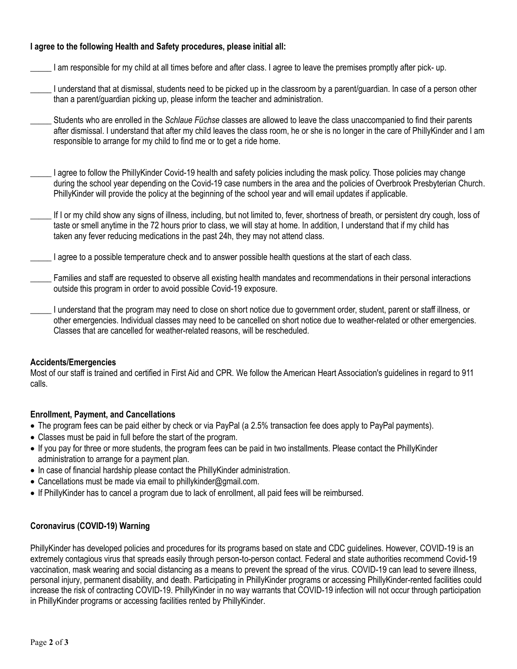#### **I agree to the following Health and Safety procedures, please initial all:**

- \_\_\_\_\_ I am responsible for my child at all times before and after class. I agree to leave the premises promptly after pick- up.
- \_\_\_\_\_ I understand that at dismissal, students need to be picked up in the classroom by a parent/guardian. In case of a person other than a parent/guardian picking up, please inform the teacher and administration.
- \_\_\_\_\_ Students who are enrolled in the *Schlaue Füchse* classes are allowed to leave the class unaccompanied to find their parents after dismissal. I understand that after my child leaves the class room, he or she is no longer in the care of PhillyKinder and I am responsible to arrange for my child to find me or to get a ride home.
- \_\_\_\_\_ I agree to follow the PhillyKinder Covid-19 health and safety policies including the mask policy. Those policies may change during the school year depending on the Covid-19 case numbers in the area and the policies of Overbrook Presbyterian Church. PhillyKinder will provide the policy at the beginning of the school year and will email updates if applicable.
- If I or my child show any signs of illness, including, but not limited to, fever, shortness of breath, or persistent dry cough, loss of taste or smell anytime in the 72 hours prior to class, we will stay at home. In addition, I understand that if my child has taken any fever reducing medications in the past 24h, they may not attend class.
- I agree to a possible temperature check and to answer possible health questions at the start of each class.
- \_\_\_\_\_ Families and staff are requested to observe all existing health mandates and recommendations in their personal interactions outside this program in order to avoid possible Covid-19 exposure.
- \_\_\_\_\_ I understand that the program may need to close on short notice due to government order, student, parent or staff illness, or other emergencies. Individual classes may need to be cancelled on short notice due to weather-related or other emergencies. Classes that are cancelled for weather-related reasons, will be rescheduled.

#### **Accidents/Emergencies**

Most of our staff is trained and certified in First Aid and CPR. We follow the American Heart Association's guidelines in regard to 911 calls.

## **Enrollment, Payment, and Cancellations**

- The program fees can be paid either by check or via PayPal (a 2.5% transaction fee does apply to PayPal payments).
- Classes must be paid in full before the start of the program.
- If you pay for three or more students, the program fees can be paid in two installments. Please contact the PhillyKinder administration to arrange for a payment plan.
- In case of financial hardship please contact the PhillyKinder administration.
- Cancellations must be made via email to phillykinder@gmail.com.
- If PhillyKinder has to cancel a program due to lack of enrollment, all paid fees will be reimbursed.

## **Coronavirus (COVID-19) Warning**

PhillyKinder has developed policies and procedures for its programs based on state and CDC guidelines. However, COVID-19 is an extremely contagious virus that spreads easily through person-to-person contact. Federal and state authorities recommend Covid-19 vaccination, mask wearing and social distancing as a means to prevent the spread of the virus. COVID-19 can lead to severe illness, personal injury, permanent disability, and death. Participating in PhillyKinder programs or accessing PhillyKinder-rented facilities could increase the risk of contracting COVID-19. PhillyKinder in no way warrants that COVID-19 infection will not occur through participation in PhillyKinder programs or accessing facilities rented by PhillyKinder.